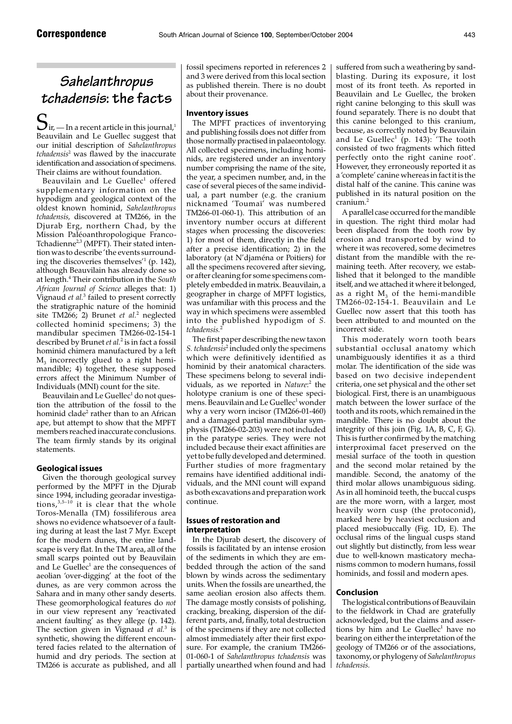# **Sahelanthropus tchadensis: the facts**

 $S_{ir}$  — In a recent article in this journal,<sup>1</sup> Beauvilain and Le Guellec suggest that our initial description of *Sahelanthropus tchadensis*<sup>2</sup> was flawed by the inaccurate identification and association of specimens. Their claims are without foundation.

Beauvilain and Le Guellec<sup>1</sup> offered supplementary information on the hypodigm and geological context of the oldest known hominid, *Sahelanthropus tchadensis,* discovered at TM266, in the Djurab Erg, northern Chad, by the Mission Paléoanthropologique Franco-Tchadienne<sup>2,3</sup> (MPFT). Their stated intention was to describe 'the events surrounding the discoveries themselves<sup> $(1)$ </sup> (p. 142), although Beauvilain has already done so at length.<sup>4</sup> Their contribution in the *South African Journal of Science* alleges that: 1) Vignaud *et al.*<sup>3</sup> failed to present correctly the stratigraphic nature of the hominid site TM266; 2) Brunet *et al.*<sup>2</sup> neglected collected hominid specimens; 3) the mandibular specimen TM266-02-154-1 described by Brunet *et al.*<sup>2</sup> is in fact a fossil hominid chimera manufactured by a left  $M<sub>3</sub>$  incorrectly glued to a right hemimandible; 4) together, these supposed errors affect the Minimum Number of Individuals (MNI) count for the site.

Beauvilain and Le Guellec<sup>1</sup> do not question the attribution of the fossil to the hominid clade<sup>2</sup> rather than to an African ape, but attempt to show that the MPFT members reached inaccurate conclusions. The team firmly stands by its original statements.

# **Geological issues**

Given the thorough geological survey performed by the MPFT in the Djurab since 1994, including georadar investigations, $3,5-10$  it is clear that the whole Toros-Menalla (TM) fossiliferous area shows no evidence whatsoever of a faulting during at least the last 7 Myr. Except for the modern dunes, the entire landscape is very flat. In the TM area, all of the small scarps pointed out by Beauvilain and Le Guellec<sup>1</sup> are the consequences of aeolian 'over-digging' at the foot of the dunes, as are very common across the Sahara and in many other sandy deserts. These geomorphological features do *not* in our view represent any 'reactivated ancient faulting' as they allege (p. 142). The section given in Vignaud *et al.*<sup>3</sup> is synthetic, showing the different encountered facies related to the alternation of humid and dry periods. The section at TM266 is accurate as published, and all fossil specimens reported in references 2 and 3 were derived from this local section as published therein. There is no doubt about their provenance.

# **Inventory issues**

The MPFT practices of inventorying and publishing fossils does not differ from those normally practised in palaeontology. All collected specimens, including hominids, are registered under an inventory number comprising the name of the site, the year, a specimen number, and, in the case of several pieces of the same individual, a part number (e.g. the cranium nicknamed 'Toumaï' was numbered TM266-01-060-1). This attribution of an inventory number occurs at different stages when processing the discoveries: 1) for most of them, directly in the field after a precise identification; 2) in the laboratory (at N'djaména or Poitiers) for all the specimens recovered after sieving, or after cleaning for some specimens completely embedded in matrix. Beauvilain, a geographer in charge of MPFT logistics, was unfamiliar with this process and the way in which specimens were assembled into the published hypodigm of *S. tchadensis.*<sup>2</sup>

The first paper describing the new taxon *S. tchadensis*<sup>2</sup> included only the specimens which were definitively identified as hominid by their anatomical characters. These specimens belong to several individuals, as we reported in *Nature*: <sup>2</sup> the holotype cranium is one of these specimens. Beauvilain and Le Guellec<sup>1</sup> wonder why a very worn incisor (TM266-01-460) and a damaged partial mandibular symphysis (TM266-02-203) were not included in the paratype series. They were not included because their exact affinities are yet to be fully developed and determined. Further studies of more fragmentary remains have identified additional individuals, and the MNI count will expand as both excavations and preparation work continue.

# **Issues of restoration and interpretation**

In the Djurab desert, the discovery of fossils is facilitated by an intense erosion of the sediments in which they are embedded through the action of the sand blown by winds across the sedimentary units. When the fossils are unearthed, the same aeolian erosion also affects them. The damage mostly consists of polishing, cracking, breaking, dispersion of the different parts, and, finally, total destruction of the specimens if they are not collected almost immediately after their first exposure. For example, the cranium TM266- 01-060-1 of *Sahelanthropus tchadensis* was partially unearthed when found and had

suffered from such a weathering by sandblasting. During its exposure, it lost most of its front teeth. As reported in Beauvilain and Le Guellec, the broken right canine belonging to this skull was found separately. There is no doubt that this canine belonged to this cranium, because, as correctly noted by Beauvilain and Le Guellec<sup>1</sup> (p. 143): The tooth consisted of two fragments which fitted perfectly onto the right canine root'. However, they erroneously reported it as a 'complete' canine whereas in fact it is the distal half of the canine. This canine was published in its natural position on the  $c$ ranium. $<sup>2</sup>$ </sup>

A parallel case occurred for the mandible in question. The right third molar had been displaced from the tooth row by erosion and transported by wind to where it was recovered, some decimetres distant from the mandible with the remaining teeth. After recovery, we established that it belonged to the mandible itself, and we attached it where it belonged, as a right  $M<sub>3</sub>$  of the hemi-mandible TM266-02-154-1. Beauvilain and Le Guellec now assert that this tooth has been attributed to and mounted on the incorrect side.

This moderately worn tooth bears substantial occlusal anatomy which unambiguously identifies it as a third molar. The identification of the side was based on two decisive independent criteria, one set physical and the other set biological. First, there is an unambiguous match between the lower surface of the tooth and its roots, which remained in the mandible. There is no doubt about the integrity of this join (Fig. 1A, B, C, F, G). This is further confirmed by the matching interproximal facet preserved on the mesial surface of the tooth in question and the second molar retained by the mandible. Second, the anatomy of the third molar allows unambiguous siding. As in all hominoid teeth, the buccal cusps are the more worn, with a larger, most heavily worn cusp (the protoconid), marked here by heaviest occlusion and placed mesiobuccally (Fig. 1D, E). The occlusal rims of the lingual cusps stand out slightly but distinctly, from less wear due to well-known masticatory mechanisms common to modern humans, fossil hominids, and fossil and modern apes.

# **Conclusion**

The logistical contributions of Beauvilain to the fieldwork in Chad are gratefully acknowledged, but the claims and assertions by him and Le Guellec<sup>1</sup> have no bearing on either the interpretation of the geology of TM266 or of the associations, taxonomy, or phylogeny of *Sahelanthropus tchadensis.*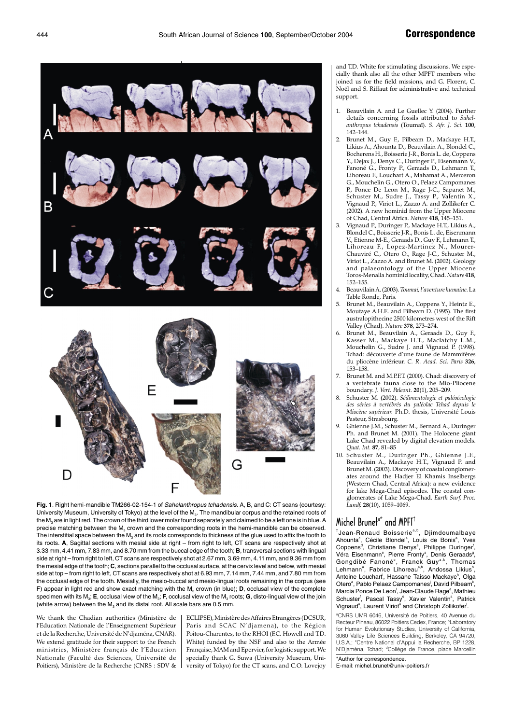

**Fig. 1**. Right hemi-mandible TM266-02-154-1 of Sahelanthropus tchadensis. A, B, and C: CT scans (courtesy: University Museum, University of Tokyo) at the level of the M<sub>3</sub>. The mandibular corpus and the retained roots of the M<sub>2</sub> are in light red. The crown of the third lower molar found separately and claimed to be a left one is in blue. A precise matching between the  $M<sub>3</sub>$  crown and the corresponding roots in the hemi-mandible can be observed. The interstitial space between the  $M<sub>3</sub>$  and its roots corresponds to thickness of the glue used to affix the tooth to its roots. **A**, Sagittal sections with mesial side at right – from right to left, CT scans are respectively shot at 3.33 mm, 4.41 mm, 7.83 mm, and 8.70 mm from the buccal edge of the tooth; **B**, transversal sections with lingual side at right – from right to left, CT scans are respectively shot at 2.67 mm, 3.69 mm, 4.11 mm, and 9.36 mm from the mesial edge of the tooth; **C**, sections parallel to the occlusal surface, at the cervix level and below, with mesial side at top – from right to left, CT scans are respectively shot at 6.93 mm, 7.14 mm, 7.44 mm, and 7.80 mm from the occlusal edge of the tooth. Mesially, the mesio-buccal and mesio-lingual roots remaining in the corpus (see F) appear in light red and show exact matching with the M<sub>3</sub> crown (in blue); **D**, occlusal view of the complete specimen with its M<sub>3</sub>; **E**, occlusal view of the M<sub>3</sub>; **F**, occlusal view of the M<sub>3</sub> roots; **G**, disto-lingual view of the join (white arrow) between the  $M_3$  and its distal root. All scale bars are 0.5 mm.

We thank the Chadian authorities (Ministère de l'Education Nationale de l'Enseignement Supérieur et de la Recherche, Université de N'djaména, CNAR). We extend gratitude for their support to the French ministries, Ministère français de l'Education Nationale (Faculté des Sciences, Université de Poitiers), Ministère de la Recherche (CNRS : SDV & ECLIPSE), Ministère des Affaires Etrangères (DCSUR, Paris and SCAC N'djamena), to the Région Poitou-Charentes, to the RHOI (F.C. Howell and T.D. White) funded by the NSF and also to the Armée Française, MAM and Epervier, for logistic support. We specially thank G. Suwa (University Museum, University of Tokyo) for the CT scans, and C.O. Lovejoy

and T.D. White for stimulating discussions. We especially thank also all the other MPFT members who joined us for the field missions, and G. Florent, C. Noël and S. Riffaut for administrative and technical support.

- Beauvilain A. and Le Guellec Y. (2004). Further details concerning fossils attributed to *Sahelanthropus tchadensis* (Toumaï). *S. Afr. J. Sci.* **100**, 142–144.
- 2. Brunet M., Guy F., Pilbeam D., Mackaye H.T., Likius A., Ahounta D., Beauvilain A., Blondel C., Bocherens H., Boisserie J-R., Bonis L. de, Coppens Y., Dejax J., Denys C., Duringer P., Eisenmann V., Fanoné G., Fronty P., Geraads D., Lehmann T., Lihoreau F., Louchart A., Mahamat A., Merceron G., Mouchelin G., Otero O., Pelaez Campomanes P., Ponce De Leon M., Rage J-C., Sapanet M., Schuster M., Sudre J., Tassy P., Valentin X., Vignaud P., Viriot L., Zazzo A. and Zollikofer C. (2002). A new hominid from the Upper Miocene of Chad, Central Africa. *Nature* **418**, 145–151.
- 3. Vignaud P., Duringer P., Mackaye H.T., Likius A., Blondel C., Boisserie J-R., Bonis L. de, Eisenmann V., Etienne M-E., Geraads D., Guy F., Lehmann T., Lihoreau F., Lopez-Martinez N., Mourer-Chauviré C., Otero O., Rage J-C., Schuster M., Viriot L., Zazzo A. and Brunet M. (2002). Geology and palaeontology of the Upper Miocene Toros-Menalla hominid locality, Chad. *Nature* **418**, 152–155.
- 4. Beauvilain A. (2003). *Toumaï, l'aventure humaine.*La Table Ronde, Paris.
- 5. Brunet M., Beauvilain A., Coppens Y., Heintz E., Moutaye A.H.E. and Pilbeam D. (1995). The first australopithecine 2500 kilometres west of the Rift Valley (Chad). *Nature* **378**, 273–274.
- 6. Brunet M., Beauvilain A., Geraads D., Guy F., Kasser M., Mackaye H.T., Maclatchy L.M., Mouchelin G., Sudre J. and Vignaud P. (1998). Tchad: découverte d'une faune de Mammifères du pliocène inférieur. *C. R. Acad. Sci. Paris* **326**, 153–158.
- 7. Brunet M. and M.P.F.T. (2000). Chad: discovery of a vertebrate fauna close to the Mio-Pliocene boundary. *J. Vert. Paleont.* **20**(1), 205–209.
- 8. Schuster M. (2002). *Sédimentologie et paléoécologie des séries à vertébrés du paléolac Tchad depuis le Miocène supérieur.* Ph.D. thesis, Université Louis Pasteur, Strasbourg.
- 9. Ghienne J.M., Schuster M., Bernard A., Duringer Ph. and Brunet M. (2001). The Holocene giant Lake Chad revealed by digital elevation models. *Quat. Int.* **87**, 81–85
- 10. Schuster M., Duringer Ph., Ghienne J.F., Beauvilain A., Mackaye H.T., Vignaud P. and Brunet M. (2003). Discovery of coastal conglomerates around the Hadjer El Khamis Inselbergs (Western Chad, Central Africa): a new evidence for lake Mega-Chad episodes. The coastal conglomerates of Lake Mega-Chad. *Earth Surf. Proc. Landf.* **28**(10), 1059–1069.

# Michel Brunet<sup>®\*</sup> and MPFT<sup>+</sup>

<sup>†</sup>Jean-Renaud Boisserie<sup>a,b</sup>, Djimdoumalbaye Ahounta<sup>c</sup>, Cécile Blondel<sup>a</sup>, Louis de Bonis<sup>a</sup>, Yves Coppens<sup>d</sup>, Christiane Denys<sup>e</sup>, Philippe Duringer<sup>f</sup>, Véra Eisenmann<sup>e</sup>, Pierre Fronty<sup>a</sup>, Denis Geraads<sup>9</sup>, Gongdibé Fanoné<sup>c</sup>, Franck Guy<sup>a,k</sup>, Thomas Lehmann<sup>a</sup>, Fabrice Lihoreau<sup>a,h</sup>, Andossa Likius<sup>h</sup>, Antoine Louchart<sup>i</sup>, Hassane Taisso Mackaye<sup>h</sup>, Olga Otero<sup>a</sup>, Pablo Pelaez Campomanes<sup>i</sup>, David Pilbeam<sup>k</sup>, Marcia Ponce De Leon<sup>!</sup>, Jean-Claude Rage<sup>e</sup>, Mathieu Schuster<sup>f</sup>, Pascal Tassy<sup>e</sup>, Xavier Valentin<sup>a</sup>, Patrick Vignaud<sup>a</sup>, Laurent Viriot<sup>a</sup> and Christoph Zollikofer<sup>!</sup>.

a CNRS UMR 6046, Université de Poitiers, 40 Avenue du Recteur Pineau, 86022 Poitiers Cedex, France; <sup>b</sup>Laboratory for Human Evolutionary Studies, University of California, 3060 Valley Life Sciences Building, Berkeley, CA 94720, U.S.A.; <sup>c</sup>Centre National d'Appui la Recherche, BP 1228, N'Djaména, Tchad; <sup>d</sup>Collège de France, place Marcellin

\*Author for correspondence. E-mail: michel.brunet@univ-poitiers.fr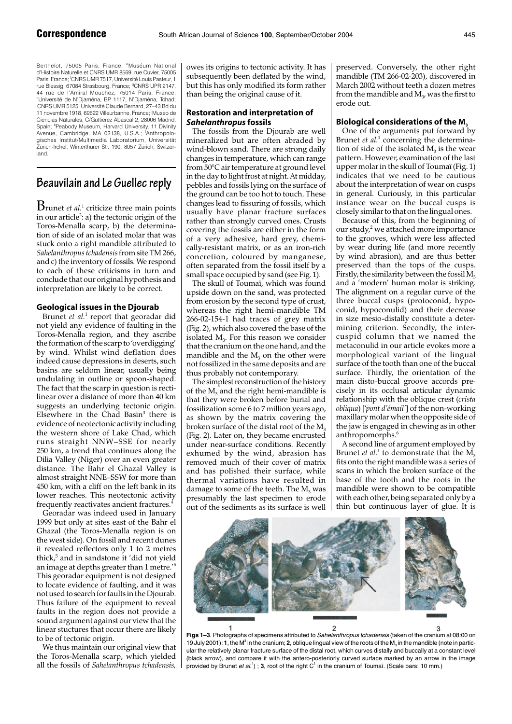Berthelot, 75005 Paris, France; <sup>e</sup>Muséum National d'Histoire Naturelle et CNRS UMR 8569, rue Cuvier, 75005 Paris, France; <sup>f</sup>CNRS UMR 7517, Université Louis Pasteur, 1 rue Blessig, 67084 Strasbourg, France; <sup>9</sup>CNRS UPR 2147, 44 rue de l'Amiral Mouchez, 75014 Paris, France; h Université de N'Djaména, BP 1117, N'Djaména, Tchad; i CNRS UMR 5125, Université Claude Bernard, 27–43 Bd du 11 novembre 1918, 69622 Villeurbanne, France; <sup>j</sup> Museo de Ciencias Naturales, C/Guttierez Abascal 2, 28006 Madrid, Spain; kPeabody Museum, Harvard University, 11 Divinity Avenue, Cambridge, MA 02138, U.S.A.; <sup>I</sup>Anthropologisches Institut/Multimedia Laboratorium, Universität Zürich-Irchel, Winterthurer Str. 190, 8057 Zürich, Switzerland.

# **Beauvilain and Le Guellec reply**

Brunet *et al.*<sup>1</sup> criticize three main points in our article $^2$ : a) the tectonic origin of the Toros-Menalla scarp, b) the determination of side of an isolated molar that was stuck onto a right mandible attributed to *Sahelanthropus tchadensis*from site TM 266, and c) the inventory of fossils. We respond to each of these criticisms in turn and conclude that our original hypothesis and interpretation are likely to be correct.

# **Geological issues in the Djourab**

Brunet *et al.*<sup>1</sup> report that georadar did not yield any evidence of faulting in the Toros-Menalla region, and they ascribe the formation of the scarp to 'overdigging' by wind. Whilst wind deflation does indeed cause depressions in deserts, such basins are seldom linear, usually being undulating in outline or spoon-shaped. The fact that the scarp in question is rectilinear over a distance of more than 40 km suggests an underlying tectonic origin. Elsewhere in the Chad Basin<sup>3</sup> there is evidence of neotectonic activity including the western shore of Lake Chad, which runs straight NNW–SSE for nearly 250 km, a trend that continues along the Dilia Valley (Niger) over an even greater distance. The Bahr el Ghazal Valley is almost straight NNE–SSW for more than 450 km, with a cliff on the left bank in its lower reaches. This neotectonic activity frequently reactivates ancient fractures.<sup>4</sup>

Georadar was indeed used in January 1999 but only at sites east of the Bahr el Ghazal (the Toros-Menalla region is on the west side). On fossil and recent dunes it revealed reflectors only 1 to 2 metres thick,<sup>5</sup> and in sandstone it 'did not yield an image at depths greater than 1 metre.'5 This georadar equipment is not designed to locate evidence of faulting, and it was not used to search for faults in the Djourab. Thus failure of the equipment to reveal faults in the region does not provide a sound argument against our view that the linear stuctures that occur there are likely to be of tectonic origin.

We thus maintain our original view that the Toros-Menalla scarp, which yielded all the fossils of *Sahelanthropus tchadensis,* owes its origins to tectonic activity. It has subsequently been deflated by the wind, but this has only modified its form rather than being the original cause of it.

# **Restoration and interpretation of** *Sahelanthropus* **fossils**

The fossils from the Djourab are well mineralized but are often abraded by wind-blown sand. There are strong daily changes in temperature, which can range from 50°C air temperature at ground level in the day to light frost at night. At midday, pebbles and fossils lying on the surface of the ground can be too hot to touch. These changes lead to fissuring of fossils, which usually have planar fracture surfaces rather than strongly curved ones. Crusts covering the fossils are either in the form of a very adhesive, hard grey, chemically-resistant matrix, or as an iron-rich concretion, coloured by manganese, often separated from the fossil itself by a small space occupied by sand (see Fig. 1).

The skull of Toumaï, which was found upside down on the sand, was protected from erosion by the second type of crust, whereas the right hemi-mandible TM 266-02-154-1 had traces of grey matrix (Fig. 2), which also covered the base of the isolated  $M<sub>3</sub>$ . For this reason we consider that the cranium on the one hand, and the mandible and the  $M<sub>3</sub>$  on the other were not fossilized in the same deposits and are thus probably not contemporary.

The simplest reconstruction of the history of the  $M<sub>3</sub>$  and the right hemi-mandible is that they were broken before burial and fossilization some 6 to 7 million years ago, as shown by the matrix covering the broken surface of the distal root of the  $M<sub>3</sub>$ (Fig. 2). Later on, they became encrusted under near-surface conditions. Recently exhumed by the wind, abrasion has removed much of their cover of matrix and has polished their surface, while thermal variations have resulted in damage to some of the teeth. The  $M<sub>3</sub>$  was presumably the last specimen to erode out of the sediments as its surface is well

preserved. Conversely, the other right mandible (TM 266-02-203), discovered in March 2002 without teeth a dozen metres from the mandible and  $M<sub>3</sub>$ , was the first to erode out.

# **Biological considerations of the M3**

One of the arguments put forward by Brunet *et al.*<sup>1</sup> concerning the determination of side of the isolated  $M<sub>3</sub>$  is the wear pattern. However, examination of the last upper molar in the skull of Toumaï (Fig. 1) indicates that we need to be cautious about the interpretation of wear on cusps in general. Curiously, in this particular instance wear on the buccal cusps is closely similar to that on the lingual ones.

Because of this, from the beginning of our study, $2$  we attached more importance to the grooves, which were less affected by wear during life (and more recently by wind abrasion), and are thus better preserved than the tops of the cusps. Firstly, the similarity between the fossil  $M_3$ and a 'modern' human molar is striking. The alignment on a regular curve of the three buccal cusps (protoconid, hypoconid, hypoconulid) and their decrease in size mesio-distally constitute a determining criterion. Secondly, the intercuspid column that we named the metaconulid in our article evokes more a morphological variant of the lingual surface of the tooth than one of the buccal surface. Thirdly, the orientation of the main disto-buccal groove accords precisely in its occlusal articular dynamic relationship with the oblique crest (*crista obliqua*) ['*pont d'émail'*] of the non-working maxillary molar when the opposite side of the jaw is engaged in chewing as in other anthropomorphs.<sup>6</sup>

A second line of argument employed by Brunet *et al.*<sup>1</sup> to demonstrate that the  $M_3$ fits onto the right mandible was a series of scans in which the broken surface of the base of the tooth and the roots in the mandible were shown to be compatible with each other, being separated only by a thin but continuous layer of glue. It is



**Figs 1–3**. Photographs of specimens attributed to Sahelanthropus tchadensis (taken of the cranium at 08:00 on 19 July 2001): 1, the M<sup>3</sup> in the cranium; 2, oblique lingual view of the roots of the M<sub>3</sub> in the mandible (note in particular the relatively planar fracture surface of the distal root, which curves distally and buccally at a constant level (black arrow), and compare it with the antero-posteriorly curved surface marked by an arrow in the image provided by Brunet *et al.*<sup>1</sup>); 3, root of the right C<sup>1</sup> in the cranium of Toumaï. (Scale bars: 10 mm.)